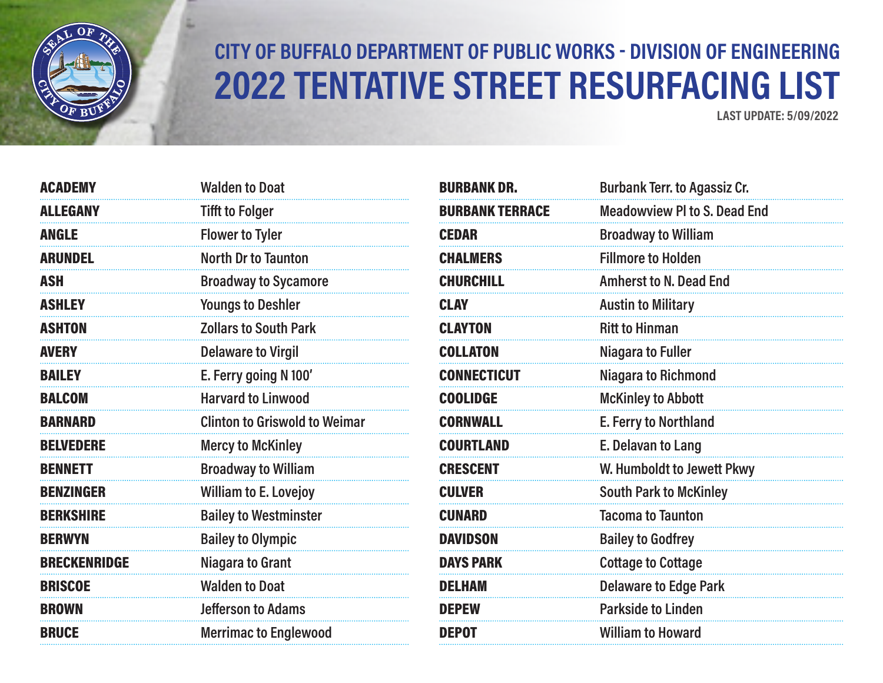

## **CITY OF BUFFALO DEPARTMENT OF PUBLIC WORKS - DIVISION OF ENGINEERING 2022 TENTATIVE STREET RESURFACING LIST**

**LAST UPDATE: 5/09/2022**

| <b>ACADEMY</b>      | <b>Walden to Doat</b>                |
|---------------------|--------------------------------------|
| <b>ALLEGANY</b>     | <b>Tifft to Folger</b>               |
| <b>ANGLE</b>        | <b>Flower to Tyler</b>               |
| <b>ARUNDEL</b>      | <b>North Dr to Taunton</b>           |
| <b>ASH</b>          | <b>Broadway to Sycamore</b>          |
| <b>ASHLEY</b>       | <b>Youngs to Deshler</b>             |
| <b>ASHTON</b>       | <b>Zollars to South Park</b>         |
| <b>AVERY</b>        | <b>Delaware to Virgil</b>            |
| <b>BAILEY</b>       | E. Ferry going N 100'                |
| <b>BALCOM</b>       | <b>Harvard to Linwood</b>            |
| <b>BARNARD</b>      | <b>Clinton to Griswold to Weimar</b> |
| <b>BELVEDERE</b>    | <b>Mercy to McKinley</b>             |
| <b>BENNETT</b>      | <b>Broadway to William</b>           |
| <b>BENZINGER</b>    | <b>William to E. Lovejoy</b>         |
| <b>BERKSHIRE</b>    | <b>Bailey to Westminster</b>         |
| <b>BERWYN</b>       | <b>Bailey to Olympic</b>             |
| <b>BRECKENRIDGE</b> | Niagara to Grant                     |
| <b>BRISCOE</b>      | <b>Walden to Doat</b>                |
| <b>BROWN</b>        | <b>Jefferson to Adams</b>            |
| <b>BRUCE</b>        | <b>Merrimac to Englewood</b>         |

| <b>BURBANK DR.</b>     | <b>Burbank Terr. to Agassiz Cr.</b> |
|------------------------|-------------------------------------|
| <b>BURBANK TERRACE</b> | <b>Meadowview PI to S. Dead End</b> |
| <b>CEDAR</b>           | <b>Broadway to William</b>          |
| <b>CHALMERS</b>        | <b>Fillmore to Holden</b>           |
| <b>CHURCHILL</b>       | <b>Amherst to N. Dead End</b>       |
| <b>CLAY</b>            | <b>Austin to Military</b>           |
| <b>CLAYTON</b>         | <b>Ritt to Hinman</b>               |
| <b>COLLATON</b>        | <b>Niagara to Fuller</b>            |
| <b>CONNECTICUT</b>     | <b>Niagara to Richmond</b>          |
| <b>COOLIDGE</b>        | <b>McKinley to Abbott</b>           |
| <b>CORNWALL</b>        | E. Ferry to Northland               |
| <b>COURTLAND</b>       | E. Delavan to Lang                  |
| <b>CRESCENT</b>        | W. Humboldt to Jewett Pkwy          |
| <b>CULVER</b>          | <b>South Park to McKinley</b>       |
| <b>CUNARD</b>          | <b>Tacoma to Taunton</b>            |
| <b>DAVIDSON</b>        | <b>Bailey to Godfrey</b>            |
| <b>DAYS PARK</b>       | <b>Cottage to Cottage</b>           |
| <b>DELHAM</b>          | <b>Delaware to Edge Park</b>        |
| <b>DEPEW</b>           | <b>Parkside to Linden</b>           |
| <b>DEPOT</b>           | <b>William to Howard</b>            |
|                        |                                     |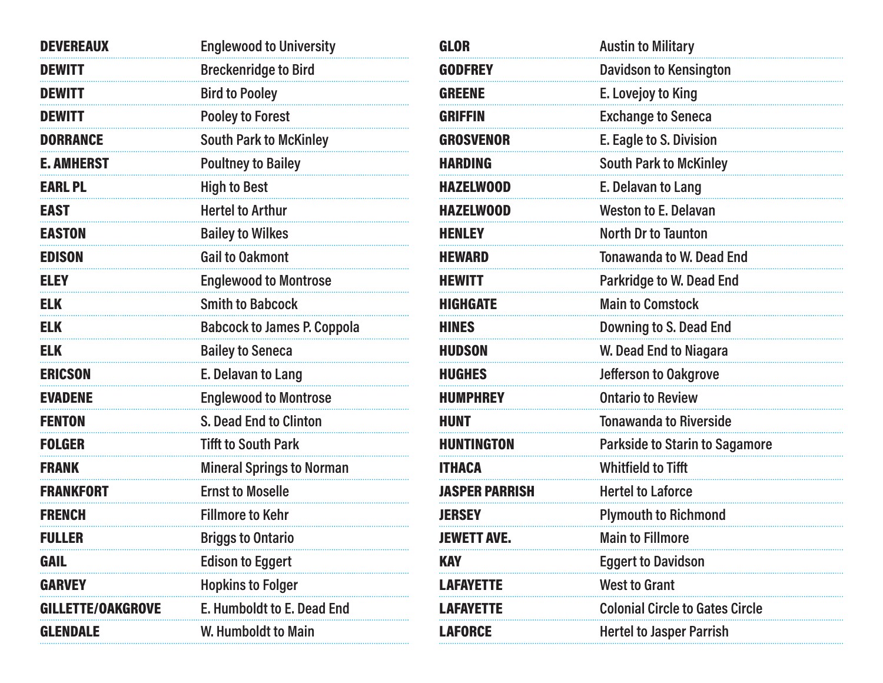| <b>DEVEREAUX</b>         | <b>Englewood to University</b>     |
|--------------------------|------------------------------------|
| <b>DEWITT</b>            | <b>Breckenridge to Bird</b>        |
| <b>DEWITT</b>            | <b>Bird to Pooley</b>              |
| <b>DEWITT</b>            | <b>Pooley to Forest</b>            |
| <b>DORRANCE</b>          | <b>South Park to McKinley</b>      |
| <b>E. AMHERST</b>        | <b>Poultney to Bailey</b>          |
| <b>EARL PL</b>           | <b>High to Best</b>                |
| <b>EAST</b>              | <b>Hertel to Arthur</b>            |
| <b>EASTON</b>            | <b>Bailey to Wilkes</b>            |
| <b>EDISON</b>            | <b>Gail to Oakmont</b>             |
| <b>ELEY</b>              | <b>Englewood to Montrose</b>       |
| <b>ELK</b>               | <b>Smith to Babcock</b>            |
| <b>ELK</b>               | <b>Babcock to James P. Coppola</b> |
| <b>ELK</b>               | <b>Bailey to Seneca</b>            |
| <b>ERICSON</b>           | E. Delavan to Lang                 |
| <b>EVADENE</b>           | <b>Englewood to Montrose</b>       |
| <b>FENTON</b>            | <b>S. Dead End to Clinton</b>      |
| <b>FOLGER</b>            | <b>Tifft to South Park</b>         |
| <b>FRANK</b>             | <b>Mineral Springs to Norman</b>   |
| <b>FRANKFORT</b>         | <b>Ernst to Moselle</b>            |
| <b>FRENCH</b>            | <b>Fillmore to Kehr</b>            |
| <b>FULLER</b>            | <b>Briggs to Ontario</b>           |
| <b>GAIL</b>              | <b>Edison to Eggert</b>            |
| <b>GARVEY</b>            | <b>Hopkins to Folger</b>           |
| <b>GILLETTE/OAKGROVE</b> | <b>E. Humboldt to E. Dead End</b>  |
| <b>GLENDALE</b>          | W. Humboldt to Main                |

| <b>GLOR</b>           | <b>Austin to Military</b>              |
|-----------------------|----------------------------------------|
| <b>GODFREY</b>        | <b>Davidson to Kensington</b>          |
| <b>GREENE</b>         | E. Lovejoy to King                     |
| <b>GRIFFIN</b>        | <b>Exchange to Seneca</b>              |
| <b>GROSVENOR</b>      | E. Eagle to S. Division                |
| <b>HARDING</b>        | <b>South Park to McKinley</b>          |
| <b>HAZELWOOD</b>      | E. Delavan to Lang                     |
| <b>HAZELWOOD</b>      | <b>Weston to E. Delavan</b>            |
| <b>HENLEY</b>         | <b>North Dr to Taunton</b>             |
| <b>HEWARD</b>         | <b>Tonawanda to W. Dead End</b>        |
| <b>HEWITT</b>         | <b>Parkridge to W. Dead End</b>        |
| <b>HIGHGATE</b>       | <b>Main to Comstock</b>                |
| <b>HINES</b>          | Downing to S. Dead End                 |
| <b>HUDSON</b>         | <b>W. Dead End to Niagara</b>          |
| <b>HUGHES</b>         | Jefferson to Oakgrove                  |
| <b>HUMPHREY</b>       | <b>Ontario to Review</b>               |
| <b>HUNT</b>           | <b>Tonawanda to Riverside</b>          |
| <b>HUNTINGTON</b>     | <b>Parkside to Starin to Sagamore</b>  |
| <b>ITHACA</b>         | <b>Whitfield to Tifft</b>              |
| <b>JASPER PARRISH</b> | <b>Hertel to Laforce</b>               |
| <b>JERSEY</b>         | <b>Plymouth to Richmond</b>            |
| JEWETT AVE            | <b>Main to Fillmore</b>                |
| <b>KAY</b>            | <b>Eggert to Davidson</b>              |
| <b>LAFAYETTE</b>      | <b>West to Grant</b>                   |
| <b>AFAYETTE</b>       | <b>Colonial Circle to Gates Circle</b> |
| <b>LAFORCE</b>        | <b>Hertel to Jasper Parrish</b>        |
|                       |                                        |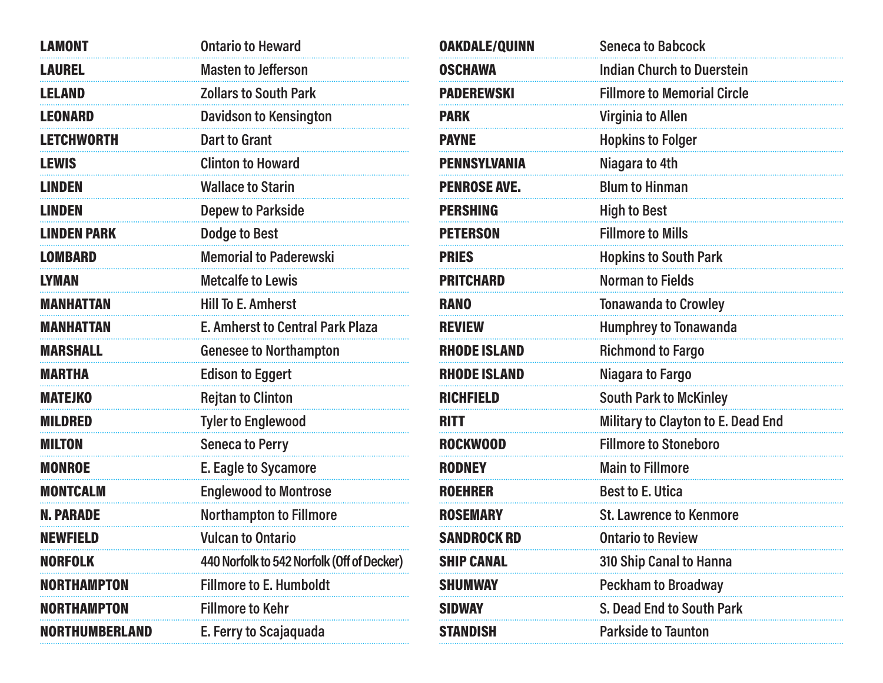| <b>LAMONT</b>         | <b>Ontario to Heward</b>                   |
|-----------------------|--------------------------------------------|
| <b>LAUREL</b>         | <b>Masten to Jefferson</b>                 |
| <b>LELAND</b>         | <b>Zollars to South Park</b>               |
| <b>LEONARD</b>        | <b>Davidson to Kensington</b>              |
| <b>LETCHWORTH</b>     | <b>Dart to Grant</b>                       |
| <b>LEWIS</b>          | <b>Clinton to Howard</b>                   |
| <b>LINDEN</b>         | <b>Wallace to Starin</b>                   |
| <b>LINDEN</b>         | <b>Depew to Parkside</b>                   |
| <b>LINDEN PARK</b>    | <b>Dodge to Best</b>                       |
| <b>LOMBARD</b>        | <b>Memorial to Paderewski</b>              |
| <b>LYMAN</b>          | <b>Metcalfe to Lewis</b>                   |
| <b>MANHATTAN</b>      | <b>Hill To E. Amherst</b>                  |
| <b>MANHATTAN</b>      | <b>E. Amherst to Central Park Plaza</b>    |
| <b>MARSHALL</b>       | <b>Genesee to Northampton</b>              |
| <b>MARTHA</b>         | <b>Edison to Eggert</b>                    |
| <b>MATEJKO</b>        | <b>Rejtan to Clinton</b>                   |
| <b>MILDRED</b>        | <b>Tyler to Englewood</b>                  |
| <b>MILTON</b>         | <b>Seneca to Perry</b>                     |
| <b>MONROE</b>         | <b>E. Eagle to Sycamore</b>                |
| <b>MONTCALM</b>       | <b>Englewood to Montrose</b>               |
| <b>N. PARADE</b>      | <b>Northampton to Fillmore</b>             |
| <b>NEWFIELD</b>       | <b>Vulcan to Ontario</b>                   |
| <b>NORFOLK</b>        | 440 Norfolk to 542 Norfolk (Off of Decker) |
| NORTHAMPTON           | <b>Fillmore to E. Humboldt</b>             |
| NORTHAMPTON           | <b>Fillmore to Kehr</b>                    |
| <b>NORTHUMBERLAND</b> | E. Ferry to Scajaquada                     |

| <b>OAKDALE/QUINN</b> | <b>Seneca to Babcock</b>           |
|----------------------|------------------------------------|
| <b>OSCHAWA</b>       | <b>Indian Church to Duerstein</b>  |
| <b>PADEREWSKI</b>    | <b>Fillmore to Memorial Circle</b> |
| <b>PARK</b>          | <b>Virginia to Allen</b>           |
| <b>PAYNE</b>         | <b>Hopkins to Folger</b>           |
| <b>PENNSYLVANIA</b>  | Niagara to 4th                     |
| <b>PENROSE AVE.</b>  | <b>Blum to Hinman</b>              |
| <b>PERSHING</b>      | <b>High to Best</b>                |
| <b>PETERSON</b>      | <b>Fillmore to Mills</b>           |
| <b>PRIES</b>         | <b>Hopkins to South Park</b>       |
| <b>PRITCHARD</b>     | <b>Norman to Fields</b>            |
| <b>RANO</b>          | <b>Tonawanda to Crowley</b>        |
| <b>REVIEW</b>        | <b>Humphrey to Tonawanda</b>       |
| <b>RHODE ISLAND</b>  | <b>Richmond to Fargo</b>           |
| <b>RHODE ISLAND</b>  | Niagara to Fargo                   |
| <b>RICHFIELD</b>     | <b>South Park to McKinley</b>      |
| <b>RITT</b>          | Military to Clayton to E. Dead End |
| <b>ROCKWOOD</b>      | <b>Fillmore to Stoneboro</b>       |
| <b>RODNEY</b>        | <b>Main to Fillmore</b>            |
| <b>ROEHRER</b>       | <b>Best to E. Utica</b>            |
| <b>ROSEMARY</b>      | <b>St. Lawrence to Kenmore</b>     |
| Sandrock RD          | <b>Ontario to Review</b>           |
| <b>SHIP CANAL</b>    | 310 Ship Canal to Hanna            |
| <b>SHUMWAY</b>       | <b>Peckham to Broadway</b>         |
| SIDWAY               | S. Dead End to South Park          |
| Standish             | <b>Parkside to Taunton</b>         |
|                      |                                    |